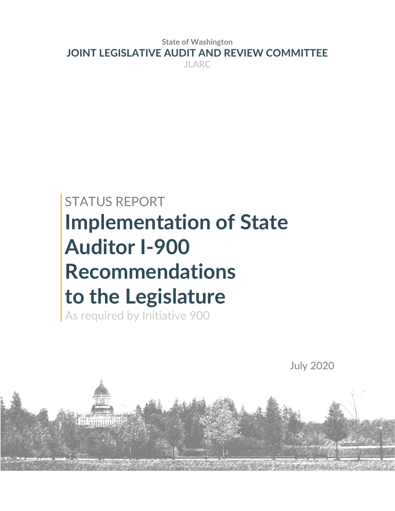**State of Washington JOINT LEGISLATIVE AUDIT AND REVIEW COMMITTEE JLARC**

# STATUS REPORT **Implementation of State Auditor I-900 Recommendations to the Legislature**

As required by Initiative 900

588 10801197779<br><u>RET (RAKBRESSARS</u>

July 2020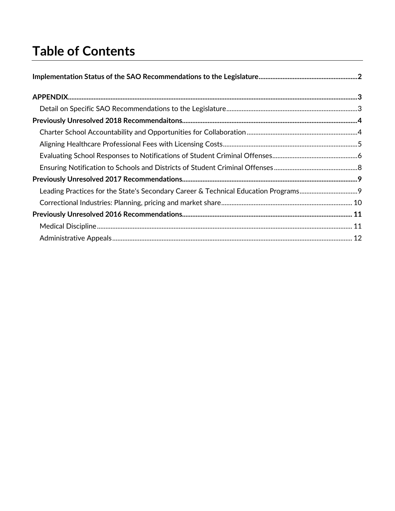# **Table of Contents**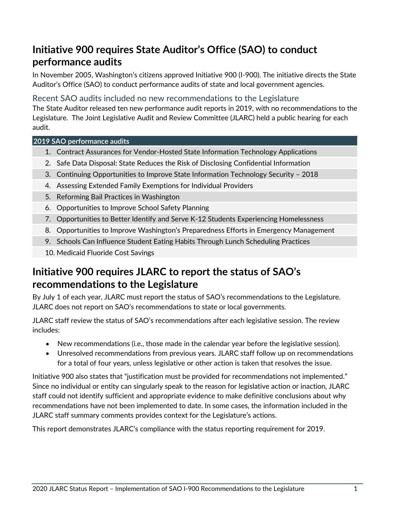# **Initiative 900 requires State Auditor's Office (SAO) to conduct performance audits**

In November 2005, Washington's citizens approved Initiative 900 (I-900). The initiative directs the State Auditor's Office (SAO) to conduct performance audits of state and local government agencies.

Recent SAO audits included no new recommendations to the Legislature

The State Auditor released ten new performance audit reports in 2019, with no recommendations to the Legislature. The Joint Legislative Audit and Review Committee (JLARC) held a public hearing for each audit.

## **2019 SAO performance audits**

- 1. [Contract Assurances for Vendor-Hosted State Information Technology Applications](https://portal.sao.wa.gov/ReportSearch/Home/ViewReportFile?arn=1022707&isFinding=false&sp=false)
- 2. [Safe Data Disposal: State Reduces the Risk of Disclosing Confidential Information](https://portal.sao.wa.gov/ReportSearch/Home/ViewReportFile?arn=1022845&isFinding=false&sp=false)
- 3. [Continuing Opportunities to Improve State Information Technology Security –](https://portal.sao.wa.gov/ReportSearch/Home/ViewReportFile?arn=1022918&isFinding=false&sp=false) 2018
- 4. [Assessing Extended Family Exemptions for Individual Providers](https://portal.sao.wa.gov/ReportSearch/Home/ViewReportFile?arn=1023358&isFinding=false&sp=false)
- 5. [Reforming Bail Practices in Washington](https://portal.sao.wa.gov/ReportSearch/Home/ViewReportFile?arn=1023411&isFinding=false&sp=false)
- 6. [Opportunities to Improve School Safety Planning](https://www.sao.wa.gov/wp-content/uploads/Tabs/PerformanceAudit/PA_Opportunities_to_Improve_School_Safety_Planning_ar1023384.pdf)
- 7. [Opportunities to Better Identify and Serve K-12 Students Experiencing Homelessness](https://www.sao.wa.gov/wp-content/uploads/Tabs/PerformanceAudit/PA_Better_Supporting_K-12_Homeless_Students-ar1023748.pdf)
- 8. [Opportunities to Improve Washington's Preparedness Efforts in Emergency Management](https://www.sao.wa.gov/wp-content/uploads/Tabs/PerformanceAudit/PA_Improving_WA_Emergency_Management_Preparedness_Efforts_ar-1023742.pdf)
- 9. [Schools Can Influence Student Eating Habits Through Lunch Scheduling Practices](https://www.sao.wa.gov/wp-content/uploads/Tabs/PerformanceAudit/PA_Elementary_School_Lunch_Scheduling_ar1024471.pdf)
- 10. [Medicaid Fluoride Cost Savings](https://portal.sao.wa.gov/ReportSearch/Home/ViewReportFile?arn=1024506&isFinding=false&sp=false)

# **Initiative 900 requires JLARC to report the status of SAO's recommendations to the Legislature**

By July 1 of each year, JLARC must report the status of SAO's recommendations to the Legislature. JLARC does not report on SAO's recommendations to state or local governments.

JLARC staff review the status of SAO's recommendations after each legislative session. The review includes:

- New recommendations (i.e., those made in the calendar year before the legislative session).
- Unresolved recommendations from previous years. JLARC staff follow up on recommendations for a total of four years, unless legislative or other action is taken that resolves the issue.

Initiative 900 also states that "justification must be provided for recommendations not implemented." Since no individual or entity can singularly speak to the reason for legislative action or inaction, JLARC staff could not identify sufficient and appropriate evidence to make definitive conclusions about why recommendations have not been implemented to date. In some cases, the information included in the JLARC staff summary comments provides context for the Legislature's actions.

This report demonstrates JLARC's compliance with the status reporting requirement for 2019.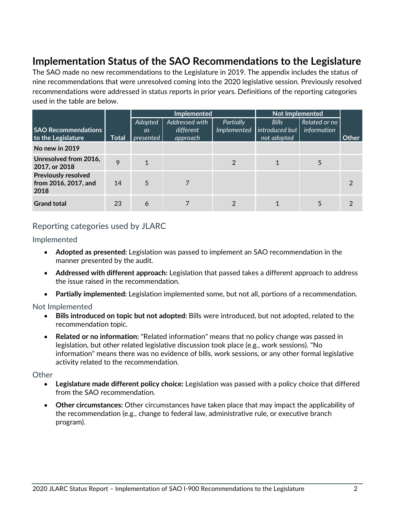# <span id="page-3-0"></span>**Implementation Status of the SAO Recommendations to the Legislature**

The SAO made no new recommendations to the Legislature in 2019. The appendix includes the status of nine recommendations that were unresolved coming into the 2020 legislative session. Previously resolved recommendations were addressed in status reports in prior years. Definitions of the reporting categories used in the table are below.

|                                                            |              |                            |                                         | <b>Implemented</b>       |                                               | <b>Not Implemented</b>       |       |
|------------------------------------------------------------|--------------|----------------------------|-----------------------------------------|--------------------------|-----------------------------------------------|------------------------------|-------|
| <b>SAO Recommendations</b><br>to the Legislature           | <b>Total</b> | Adopted<br>as<br>presented | Addressed with<br>different<br>approach | Partially<br>Implemented | <b>Bills</b><br>introduced but<br>not adopted | Related or no<br>information | Other |
| No new in 2019                                             |              |                            |                                         |                          |                                               |                              |       |
| Unresolved from 2016,<br>2017, or 2018                     | 9            |                            |                                         | $\mathcal{P}$            |                                               |                              |       |
| <b>Previously resolved</b><br>from 2016, 2017, and<br>2018 | 14           | 5                          |                                         |                          |                                               |                              | 2     |
| <b>Grand total</b>                                         | 23           | 6                          |                                         | 2                        |                                               |                              |       |

## Reporting categories used by JLARC

Implemented

- **Adopted as presented:** Legislation was passed to implement an SAO recommendation in the manner presented by the audit.
- **Addressed with different approach:** Legislation that passed takes a different approach to address the issue raised in the recommendation.
- **Partially implemented:** Legislation implemented some, but not all, portions of a recommendation.

#### Not Implemented

- **Bills introduced on topic but not adopted:** Bills were introduced, but not adopted, related to the recommendation topic.
- **Related or no information:** "Related information" means that no policy change was passed in legislation, but other related legislative discussion took place (e.g., work sessions). "No information" means there was no evidence of bills, work sessions, or any other formal legislative activity related to the recommendation.

#### **Other**

- **Legislature made different policy choice:** Legislation was passed with a policy choice that differed from the SAO recommendation.
- **Other circumstances:** Other circumstances have taken place that may impact the applicability of the recommendation (e.g., change to federal law, administrative rule, or executive branch program).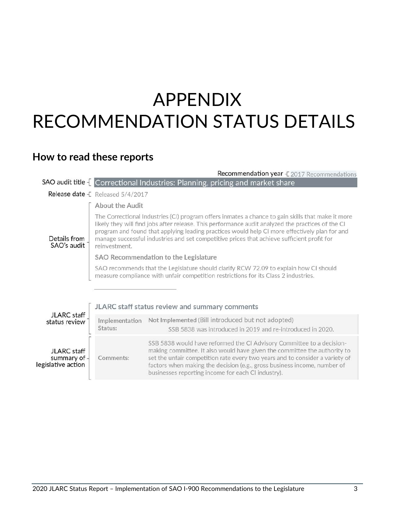# <span id="page-4-0"></span>APPENDIX RECOMMENDATION STATUS DETAILS

# <span id="page-4-1"></span>**How to read these reports**

|                                                   |                                                                                                                                                                                                                                                                                                                                                                                                                        | Recommendation year - £ 2017 Recommendations                                                                                                                                                                                                                                                                                                                         |  |
|---------------------------------------------------|------------------------------------------------------------------------------------------------------------------------------------------------------------------------------------------------------------------------------------------------------------------------------------------------------------------------------------------------------------------------------------------------------------------------|----------------------------------------------------------------------------------------------------------------------------------------------------------------------------------------------------------------------------------------------------------------------------------------------------------------------------------------------------------------------|--|
|                                                   |                                                                                                                                                                                                                                                                                                                                                                                                                        | SAO audit title [Correctional Industries: Planning, pricing and market share                                                                                                                                                                                                                                                                                         |  |
|                                                   | <b>Release date</b> F Released 5/4/2017                                                                                                                                                                                                                                                                                                                                                                                |                                                                                                                                                                                                                                                                                                                                                                      |  |
|                                                   | About the Audit                                                                                                                                                                                                                                                                                                                                                                                                        |                                                                                                                                                                                                                                                                                                                                                                      |  |
| Details from<br>SAO's audit                       | The Correctional Industries (CI) program offers inmates a chance to gain skills that make it more<br>likely they will find jobs after release. This performance audit analyzed the practices of the CI<br>program and found that applying leading practices would help CI more effectively plan for and<br>manage successful industries and set competitive prices that achieve sufficient profit for<br>reinvestment. |                                                                                                                                                                                                                                                                                                                                                                      |  |
|                                                   |                                                                                                                                                                                                                                                                                                                                                                                                                        | SAO Recommendation to the Legislature                                                                                                                                                                                                                                                                                                                                |  |
|                                                   |                                                                                                                                                                                                                                                                                                                                                                                                                        | SAO recommends that the Legislature should clarify RCW 72.09 to explain how CI should<br>measure compliance with unfair competition restrictions for its Class 2 industries.                                                                                                                                                                                         |  |
|                                                   |                                                                                                                                                                                                                                                                                                                                                                                                                        |                                                                                                                                                                                                                                                                                                                                                                      |  |
|                                                   |                                                                                                                                                                                                                                                                                                                                                                                                                        | JLARC staff status review and summary comments                                                                                                                                                                                                                                                                                                                       |  |
| JLARC staff<br>status review                      | Implementation<br>Status:                                                                                                                                                                                                                                                                                                                                                                                              | Not Implemented (Bill introduced but not adopted)<br>SSB 5838 was introduced in 2019 and re-introduced in 2020.                                                                                                                                                                                                                                                      |  |
| JLARC staff<br>summary of -<br>legislative action | Comments:                                                                                                                                                                                                                                                                                                                                                                                                              | SSB 5838 would have reformed the CI Advisory Committee to a decision-<br>making committee. It also would have given the committee the authority to<br>set the unfair competition rate every two years and to consider a variety of<br>factors when making the decision (e.g., gross business income, number of<br>businesses reporting income for each CI industry). |  |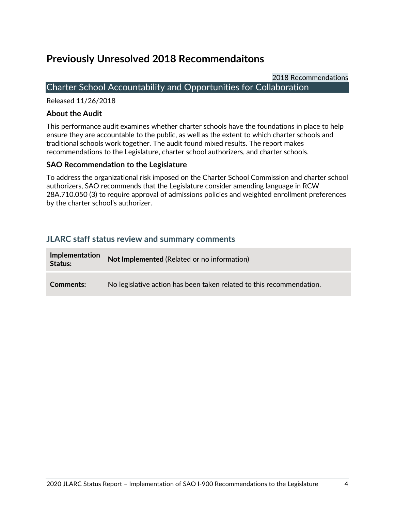# <span id="page-5-0"></span>**Previously Unresolved 2018 Recommendaitons**

2018 Recommendations

## <span id="page-5-1"></span>Charter School Accountability and Opportunities for Collaboration

Released 11/26/2018

### **About the Audit**

This performance audit examines whether charter schools have the foundations in place to help ensure they are accountable to the public, as well as the extent to which charter schools and traditional schools work together. The audit found mixed results. The report makes recommendations to the Legislature, charter school authorizers, and charter schools.

## **SAO Recommendation to the Legislature**

To address the organizational risk imposed on the Charter School Commission and charter school authorizers, SAO recommends that the Legislature consider amending language in RCW 28A.710.050 (3) to require approval of admissions policies and weighted enrollment preferences by the charter school's authorizer.

| Implementation<br>Status: | Not Implemented (Related or no information)                          |
|---------------------------|----------------------------------------------------------------------|
| Comments:                 | No legislative action has been taken related to this recommendation. |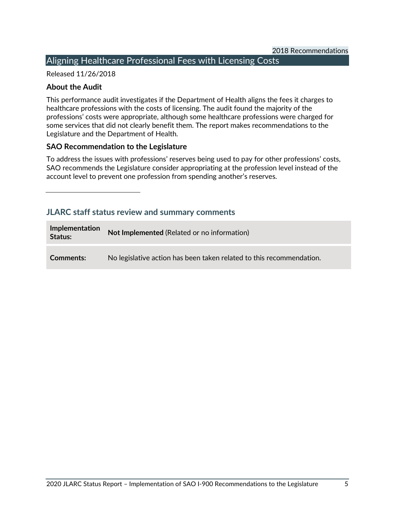## <span id="page-6-0"></span>Aligning Healthcare Professional Fees with Licensing Costs

#### Released 11/26/2018

## **About the Audit**

This performance audit investigates if the Department of Health aligns the fees it charges to healthcare professions with the costs of licensing. The audit found the majority of the professions' costs were appropriate, although some healthcare professions were charged for some services that did not clearly benefit them. The report makes recommendations to the Legislature and the Department of Health.

## **SAO Recommendation to the Legislature**

To address the issues with professions' reserves being used to pay for other professions' costs, SAO recommends the Legislature consider appropriating at the profession level instead of the account level to prevent one profession from spending another's reserves.

| <b>Implementation</b><br>Status: | Not Implemented (Related or no information)                          |
|----------------------------------|----------------------------------------------------------------------|
| <b>Comments:</b>                 | No legislative action has been taken related to this recommendation. |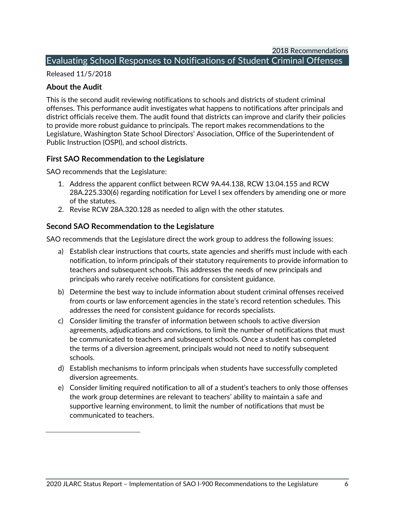## <span id="page-7-0"></span>Evaluating School Responses to Notifications of Student Criminal Offenses

Released 11/5/2018

## **About the Audit**

This is the second audit reviewing notifications to schools and districts of student criminal offenses. This performance audit investigates what happens to notifications after principals and district officials receive them. The audit found that districts can improve and clarify their policies to provide more robust guidance to principals. The report makes recommendations to the Legislature, Washington State School Directors' Association, Office of the Superintendent of Public Instruction (OSPI), and school districts.

## **First SAO Recommendation to the Legislature**

SAO recommends that the Legislature:

- 1. Address the apparent conflict between RCW 9A.44.138, RCW 13.04.155 and RCW 28A.225.330(6) regarding notification for Level I sex offenders by amending one or more of the statutes.
- 2. Revise RCW 28A.320.128 as needed to align with the other statutes.

## **Second SAO Recommendation to the Legislature**

SAO recommends that the Legislature direct the work group to address the following issues:

- a) Establish clear instructions that courts, state agencies and sheriffs must include with each notification, to inform principals of their statutory requirements to provide information to teachers and subsequent schools. This addresses the needs of new principals and principals who rarely receive notifications for consistent guidance.
- b) Determine the best way to include information about student criminal offenses received from courts or law enforcement agencies in the state's record retention schedules. This addresses the need for consistent guidance for records specialists.
- c) Consider limiting the transfer of information between schools to active diversion agreements, adjudications and convictions, to limit the number of notifications that must be communicated to teachers and subsequent schools. Once a student has completed the terms of a diversion agreement, principals would not need to notify subsequent schools.
- d) Establish mechanisms to inform principals when students have successfully completed diversion agreements.
- e) Consider limiting required notification to all of a student's teachers to only those offenses the work group determines are relevant to teachers' ability to maintain a safe and supportive learning environment, to limit the number of notifications that must be communicated to teachers.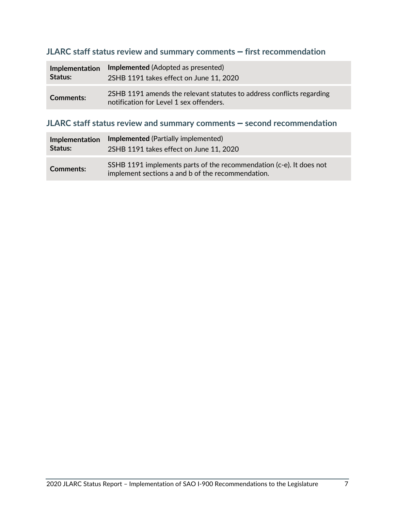## **JLARC staff status review and summary comments - first recommendation**

| Implementation   | Implemented (Adopted as presented)                                                                               |
|------------------|------------------------------------------------------------------------------------------------------------------|
| Status:          | 2SHB 1191 takes effect on June 11, 2020                                                                          |
| <b>Comments:</b> | 2SHB 1191 amends the relevant statutes to address conflicts regarding<br>notification for Level 1 sex offenders. |

## **JLARC staff status review and summary comments - second recommendation**

| Implementation | <b>Implemented</b> (Partially implemented)                                                                               |
|----------------|--------------------------------------------------------------------------------------------------------------------------|
| Status:        | 2SHB 1191 takes effect on June 11, 2020                                                                                  |
| Comments:      | SSHB 1191 implements parts of the recommendation (c-e). It does not<br>implement sections a and b of the recommendation. |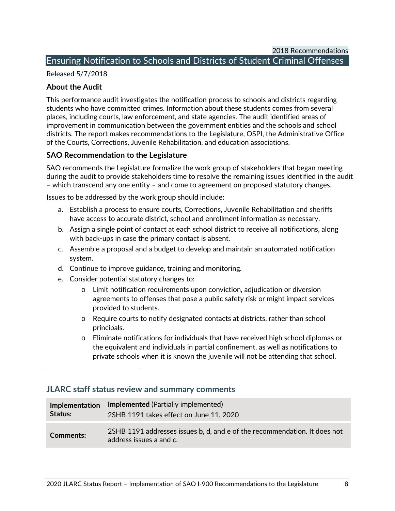## <span id="page-9-0"></span>Ensuring Notification to Schools and Districts of Student Criminal Offenses

Released 5/7/2018

### **About the Audit**

This performance audit investigates the notification process to schools and districts regarding students who have committed crimes. Information about these students comes from several places, including courts, law enforcement, and state agencies. The audit identified areas of improvement in communication between the government entities and the schools and school districts. The report makes recommendations to the Legislature, OSPI, the Administrative Office of the Courts, Corrections, Juvenile Rehabilitation, and education associations.

## **SAO Recommendation to the Legislature**

SAO recommends the Legislature formalize the work group of stakeholders that began meeting during the audit to provide stakeholders time to resolve the remaining issues identified in the audit – which transcend any one entity – and come to agreement on proposed statutory changes.

Issues to be addressed by the work group should include:

- a. Establish a process to ensure courts, Corrections, Juvenile Rehabilitation and sheriffs have access to accurate district, school and enrollment information as necessary.
- b. Assign a single point of contact at each school district to receive all notifications, along with back-ups in case the primary contact is absent.
- c. Assemble a proposal and a budget to develop and maintain an automated notification system.
- d. Continue to improve guidance, training and monitoring.
- e. Consider potential statutory changes to:
	- o Limit notification requirements upon conviction, adjudication or diversion agreements to offenses that pose a public safety risk or might impact services provided to students.
	- o Require courts to notify designated contacts at districts, rather than school principals.
	- o Eliminate notifications for individuals that have received high school diplomas or the equivalent and individuals in partial confinement, as well as notifications to private schools when it is known the juvenile will not be attending that school.

| Implementation | Implemented (Partially implemented)                                                                  |
|----------------|------------------------------------------------------------------------------------------------------|
| Status:        | 2SHB 1191 takes effect on June 11, 2020                                                              |
| Comments:      | 2SHB 1191 addresses issues b, d, and e of the recommendation. It does not<br>address issues a and c. |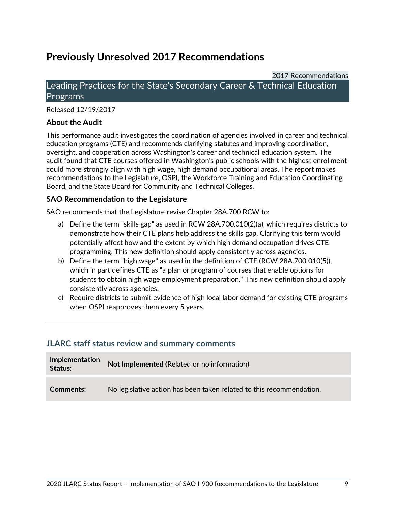# <span id="page-10-0"></span>**Previously Unresolved 2017 Recommendations**

## <span id="page-10-1"></span>2017 Recommendations Leading Practices for the State's Secondary Career & Technical Education **Programs**

Released 12/19/2017

## **About the Audit**

This performance audit investigates the coordination of agencies involved in career and technical education programs (CTE) and recommends clarifying statutes and improving coordination, oversight, and cooperation across Washington's career and technical education system. The audit found that CTE courses offered in Washington's public schools with the highest enrollment could more strongly align with high wage, high demand occupational areas. The report makes recommendations to the Legislature, OSPI, the Workforce Training and Education Coordinating Board, and the State Board for Community and Technical Colleges.

## **SAO Recommendation to the Legislature**

SAO recommends that the Legislature revise Chapter 28A.700 RCW to:

- a) Define the term "skills gap" as used in RCW 28A.700.010(2)(a), which requires districts to demonstrate how their CTE plans help address the skills gap. Clarifying this term would potentially affect how and the extent by which high demand occupation drives CTE programming. This new definition should apply consistently across agencies.
- b) Define the term "high wage" as used in the definition of CTE (RCW 28A.700.010(5)), which in part defines CTE as "a plan or program of courses that enable options for students to obtain high wage employment preparation." This new definition should apply consistently across agencies.
- c) Require districts to submit evidence of high local labor demand for existing CTE programs when OSPI reapproves them every 5 years.

| Implementation<br>Status: | Not Implemented (Related or no information)                          |
|---------------------------|----------------------------------------------------------------------|
| Comments:                 | No legislative action has been taken related to this recommendation. |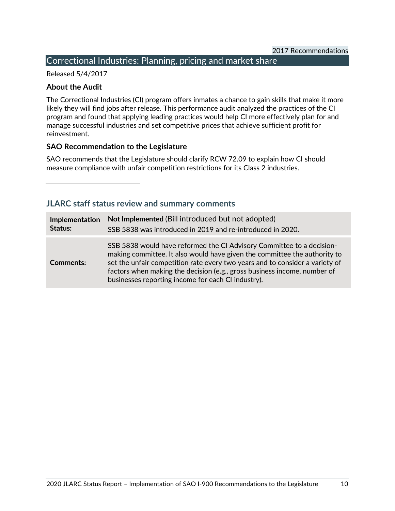## <span id="page-11-0"></span>Correctional Industries: Planning, pricing and market share

Released 5/4/2017

## **About the Audit**

The Correctional Industries (CI) program offers inmates a chance to gain skills that make it more likely they will find jobs after release. This performance audit analyzed the practices of the CI program and found that applying leading practices would help CI more effectively plan for and manage successful industries and set competitive prices that achieve sufficient profit for reinvestment.

## **SAO Recommendation to the Legislature**

SAO recommends that the Legislature should clarify RCW 72.09 to explain how CI should measure compliance with unfair competition restrictions for its Class 2 industries.

| Implementation   | Not Implemented (Bill introduced but not adopted)                                                                                                                                                                                                                                                                                                                    |
|------------------|----------------------------------------------------------------------------------------------------------------------------------------------------------------------------------------------------------------------------------------------------------------------------------------------------------------------------------------------------------------------|
| Status:          | SSB 5838 was introduced in 2019 and re-introduced in 2020.                                                                                                                                                                                                                                                                                                           |
| <b>Comments:</b> | SSB 5838 would have reformed the CI Advisory Committee to a decision-<br>making committee. It also would have given the committee the authority to<br>set the unfair competition rate every two years and to consider a variety of<br>factors when making the decision (e.g., gross business income, number of<br>businesses reporting income for each CI industry). |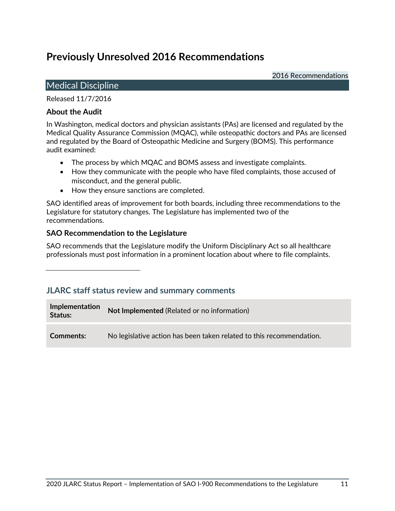# <span id="page-12-0"></span>**Previously Unresolved 2016 Recommendations**

2016 Recommendations

## <span id="page-12-1"></span>Medical Discipline

Released 11/7/2016

## **About the Audit**

In Washington, medical doctors and physician assistants (PAs) are licensed and regulated by the Medical Quality Assurance Commission (MQAC), while osteopathic doctors and PAs are licensed and regulated by the Board of Osteopathic Medicine and Surgery (BOMS). This performance audit examined:

- The process by which MQAC and BOMS assess and investigate complaints.
- How they communicate with the people who have filed complaints, those accused of misconduct, and the general public.
- How they ensure sanctions are completed.

SAO identified areas of improvement for both boards, including three recommendations to the Legislature for statutory changes. The Legislature has implemented two of the recommendations.

## **SAO Recommendation to the Legislature**

SAO recommends that the Legislature modify the Uniform Disciplinary Act so all healthcare professionals must post information in a prominent location about where to file complaints.

## **JLARC staff status review and summary comments**

**Implementation Status:** Not Implemented (Related or no information) **Comments:** No legislative action has been taken related to this recommendation.